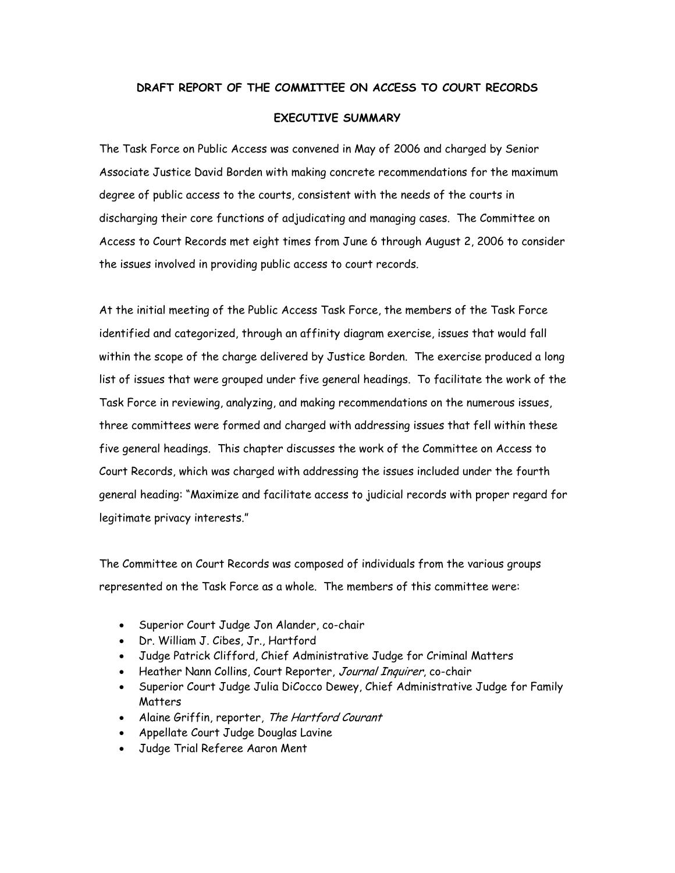#### **DRAFT REPORT OF THE COMMITTEE ON ACCESS TO COURT RECORDS**

#### **EXECUTIVE SUMMARY**

The Task Force on Public Access was convened in May of 2006 and charged by Senior Associate Justice David Borden with making concrete recommendations for the maximum degree of public access to the courts, consistent with the needs of the courts in discharging their core functions of adjudicating and managing cases. The Committee on Access to Court Records met eight times from June 6 through August 2, 2006 to consider the issues involved in providing public access to court records.

At the initial meeting of the Public Access Task Force, the members of the Task Force identified and categorized, through an affinity diagram exercise, issues that would fall within the scope of the charge delivered by Justice Borden. The exercise produced a long list of issues that were grouped under five general headings. To facilitate the work of the Task Force in reviewing, analyzing, and making recommendations on the numerous issues, three committees were formed and charged with addressing issues that fell within these five general headings. This chapter discusses the work of the Committee on Access to Court Records, which was charged with addressing the issues included under the fourth general heading: "Maximize and facilitate access to judicial records with proper regard for legitimate privacy interests."

The Committee on Court Records was composed of individuals from the various groups represented on the Task Force as a whole. The members of this committee were:

- Superior Court Judge Jon Alander, co-chair
- Dr. William J. Cibes, Jr., Hartford
- Judge Patrick Clifford, Chief Administrative Judge for Criminal Matters
- Heather Nann Collins, Court Reporter, Journal Inquirer, co-chair
- Superior Court Judge Julia DiCocco Dewey, Chief Administrative Judge for Family **Matters**
- Alaine Griffin, reporter, The Hartford Courant
- Appellate Court Judge Douglas Lavine
- Judge Trial Referee Aaron Ment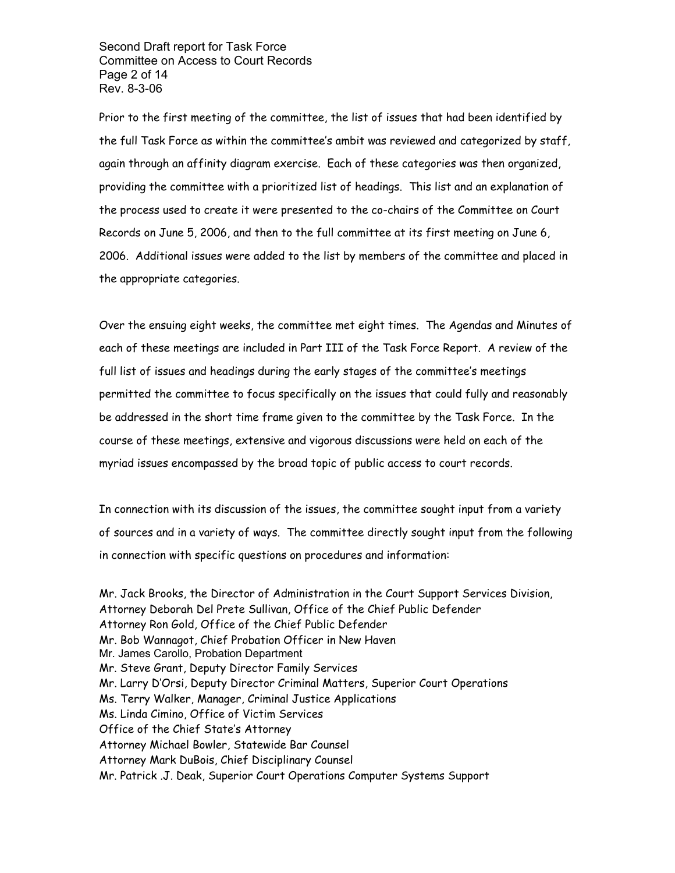Second Draft report for Task Force Committee on Access to Court Records Page 2 of 14 Rev. 8-3-06

Prior to the first meeting of the committee, the list of issues that had been identified by the full Task Force as within the committee's ambit was reviewed and categorized by staff, again through an affinity diagram exercise. Each of these categories was then organized, providing the committee with a prioritized list of headings. This list and an explanation of the process used to create it were presented to the co-chairs of the Committee on Court Records on June 5, 2006, and then to the full committee at its first meeting on June 6, 2006. Additional issues were added to the list by members of the committee and placed in the appropriate categories.

Over the ensuing eight weeks, the committee met eight times. The Agendas and Minutes of each of these meetings are included in Part III of the Task Force Report. A review of the full list of issues and headings during the early stages of the committee's meetings permitted the committee to focus specifically on the issues that could fully and reasonably be addressed in the short time frame given to the committee by the Task Force. In the course of these meetings, extensive and vigorous discussions were held on each of the myriad issues encompassed by the broad topic of public access to court records.

In connection with its discussion of the issues, the committee sought input from a variety of sources and in a variety of ways. The committee directly sought input from the following in connection with specific questions on procedures and information:

Mr. Jack Brooks, the Director of Administration in the Court Support Services Division, Attorney Deborah Del Prete Sullivan, Office of the Chief Public Defender Attorney Ron Gold, Office of the Chief Public Defender Mr. Bob Wannagot, Chief Probation Officer in New Haven Mr. James Carollo, Probation Department Mr. Steve Grant, Deputy Director Family Services Mr. Larry D'Orsi, Deputy Director Criminal Matters, Superior Court Operations Ms. Terry Walker, Manager, Criminal Justice Applications Ms. Linda Cimino, Office of Victim Services Office of the Chief State's Attorney Attorney Michael Bowler, Statewide Bar Counsel Attorney Mark DuBois, Chief Disciplinary Counsel Mr. Patrick .J. Deak, Superior Court Operations Computer Systems Support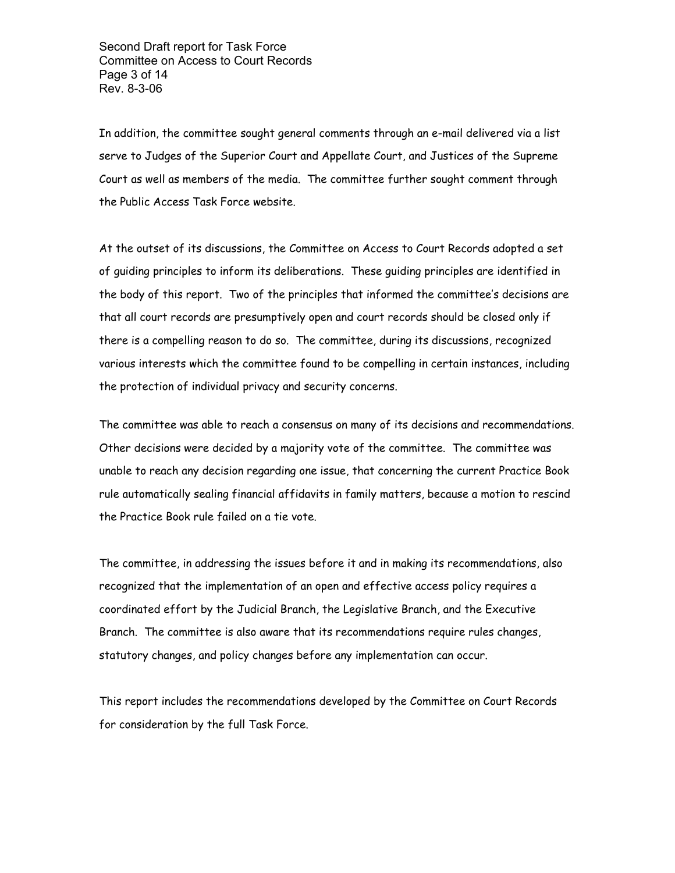Second Draft report for Task Force Committee on Access to Court Records Page 3 of 14 Rev. 8-3-06

In addition, the committee sought general comments through an e-mail delivered via a list serve to Judges of the Superior Court and Appellate Court, and Justices of the Supreme Court as well as members of the media. The committee further sought comment through the Public Access Task Force website.

At the outset of its discussions, the Committee on Access to Court Records adopted a set of guiding principles to inform its deliberations. These guiding principles are identified in the body of this report. Two of the principles that informed the committee's decisions are that all court records are presumptively open and court records should be closed only if there is a compelling reason to do so. The committee, during its discussions, recognized various interests which the committee found to be compelling in certain instances, including the protection of individual privacy and security concerns.

The committee was able to reach a consensus on many of its decisions and recommendations. Other decisions were decided by a majority vote of the committee. The committee was unable to reach any decision regarding one issue, that concerning the current Practice Book rule automatically sealing financial affidavits in family matters, because a motion to rescind the Practice Book rule failed on a tie vote.

The committee, in addressing the issues before it and in making its recommendations, also recognized that the implementation of an open and effective access policy requires a coordinated effort by the Judicial Branch, the Legislative Branch, and the Executive Branch. The committee is also aware that its recommendations require rules changes, statutory changes, and policy changes before any implementation can occur.

This report includes the recommendations developed by the Committee on Court Records for consideration by the full Task Force.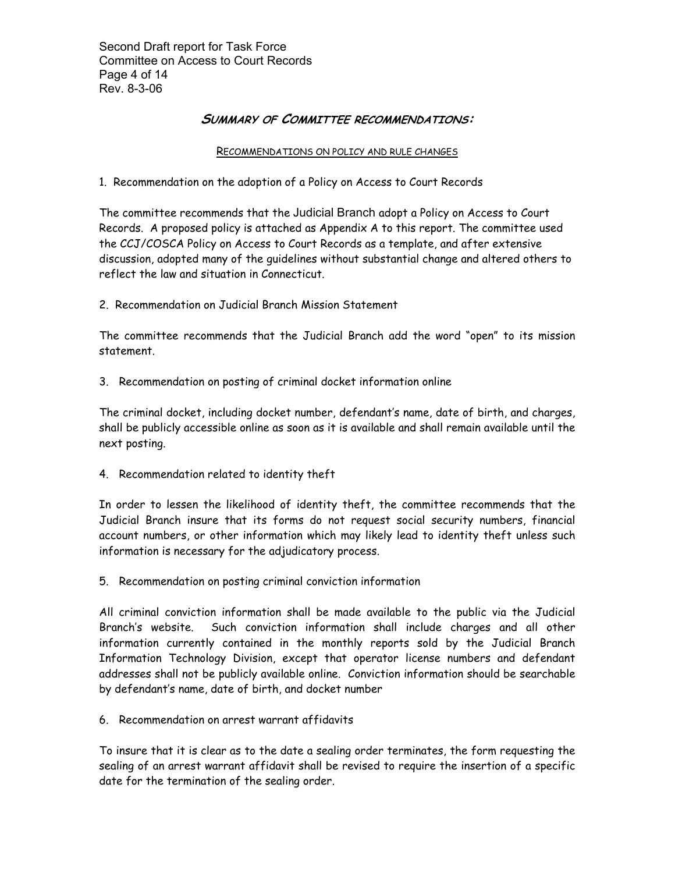Second Draft report for Task Force Committee on Access to Court Records Page 4 of 14 Rev. 8-3-06

# **SUMMARY OF COMMITTEE RECOMMENDATIONS:**

#### RECOMMENDATIONS ON POLICY AND RULE CHANGES

1. Recommendation on the adoption of a Policy on Access to Court Records

The committee recommends that the Judicial Branch adopt a Policy on Access to Court Records. A proposed policy is attached as Appendix A to this report. The committee used the CCJ/COSCA Policy on Access to Court Records as a template, and after extensive discussion, adopted many of the guidelines without substantial change and altered others to reflect the law and situation in Connecticut.

2. Recommendation on Judicial Branch Mission Statement

The committee recommends that the Judicial Branch add the word "open" to its mission statement.

3. Recommendation on posting of criminal docket information online

The criminal docket, including docket number, defendant's name, date of birth, and charges, shall be publicly accessible online as soon as it is available and shall remain available until the next posting.

4. Recommendation related to identity theft

In order to lessen the likelihood of identity theft, the committee recommends that the Judicial Branch insure that its forms do not request social security numbers, financial account numbers, or other information which may likely lead to identity theft unless such information is necessary for the adjudicatory process.

5. Recommendation on posting criminal conviction information

All criminal conviction information shall be made available to the public via the Judicial Branch's website. Such conviction information shall include charges and all other information currently contained in the monthly reports sold by the Judicial Branch Information Technology Division, except that operator license numbers and defendant addresses shall not be publicly available online. Conviction information should be searchable by defendant's name, date of birth, and docket number

6. Recommendation on arrest warrant affidavits

To insure that it is clear as to the date a sealing order terminates, the form requesting the sealing of an arrest warrant affidavit shall be revised to require the insertion of a specific date for the termination of the sealing order.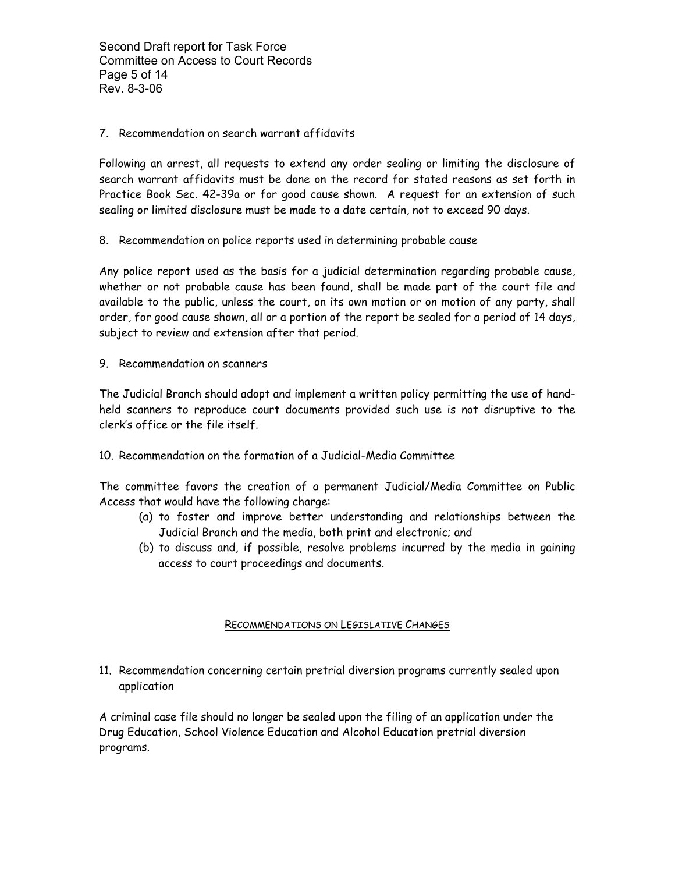### 7. Recommendation on search warrant affidavits

Following an arrest, all requests to extend any order sealing or limiting the disclosure of search warrant affidavits must be done on the record for stated reasons as set forth in Practice Book Sec. 42-39a or for good cause shown. A request for an extension of such sealing or limited disclosure must be made to a date certain, not to exceed 90 days.

8. Recommendation on police reports used in determining probable cause

Any police report used as the basis for a judicial determination regarding probable cause, whether or not probable cause has been found, shall be made part of the court file and available to the public, unless the court, on its own motion or on motion of any party, shall order, for good cause shown, all or a portion of the report be sealed for a period of 14 days, subject to review and extension after that period.

9. Recommendation on scanners

The Judicial Branch should adopt and implement a written policy permitting the use of handheld scanners to reproduce court documents provided such use is not disruptive to the clerk's office or the file itself.

10. Recommendation on the formation of a Judicial-Media Committee

The committee favors the creation of a permanent Judicial/Media Committee on Public Access that would have the following charge:

- (a) to foster and improve better understanding and relationships between the Judicial Branch and the media, both print and electronic; and
- (b) to discuss and, if possible, resolve problems incurred by the media in gaining access to court proceedings and documents.

# RECOMMENDATIONS ON LEGISLATIVE CHANGES

11. Recommendation concerning certain pretrial diversion programs currently sealed upon application

A criminal case file should no longer be sealed upon the filing of an application under the Drug Education, School Violence Education and Alcohol Education pretrial diversion programs.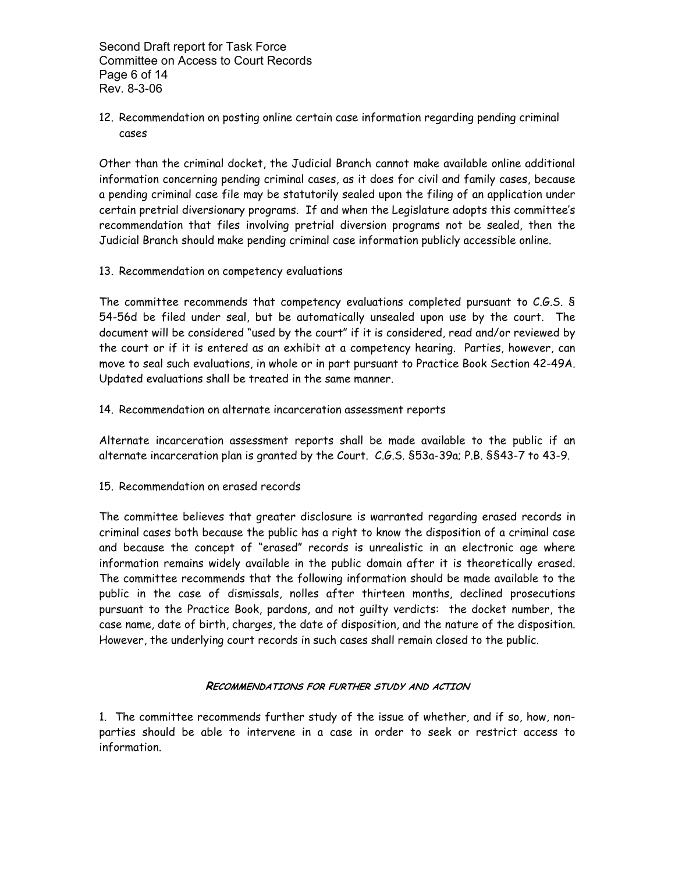Second Draft report for Task Force Committee on Access to Court Records Page 6 of 14 Rev. 8-3-06

12. Recommendation on posting online certain case information regarding pending criminal cases

Other than the criminal docket, the Judicial Branch cannot make available online additional information concerning pending criminal cases, as it does for civil and family cases, because a pending criminal case file may be statutorily sealed upon the filing of an application under certain pretrial diversionary programs. If and when the Legislature adopts this committee's recommendation that files involving pretrial diversion programs not be sealed, then the Judicial Branch should make pending criminal case information publicly accessible online.

13. Recommendation on competency evaluations

The committee recommends that competency evaluations completed pursuant to C.G.S. § 54-56d be filed under seal, but be automatically unsealed upon use by the court. The document will be considered "used by the court" if it is considered, read and/or reviewed by the court or if it is entered as an exhibit at a competency hearing. Parties, however, can move to seal such evaluations, in whole or in part pursuant to Practice Book Section 42-49A. Updated evaluations shall be treated in the same manner.

14. Recommendation on alternate incarceration assessment reports

Alternate incarceration assessment reports shall be made available to the public if an alternate incarceration plan is granted by the Court. C.G.S. §53a-39a; P.B. §§43-7 to 43-9.

15. Recommendation on erased records

The committee believes that greater disclosure is warranted regarding erased records in criminal cases both because the public has a right to know the disposition of a criminal case and because the concept of "erased" records is unrealistic in an electronic age where information remains widely available in the public domain after it is theoretically erased. The committee recommends that the following information should be made available to the public in the case of dismissals, nolles after thirteen months, declined prosecutions pursuant to the Practice Book, pardons, and not guilty verdicts: the docket number, the case name, date of birth, charges, the date of disposition, and the nature of the disposition. However, the underlying court records in such cases shall remain closed to the public.

# **RECOMMENDATIONS FOR FURTHER STUDY AND ACTION**

1. The committee recommends further study of the issue of whether, and if so, how, nonparties should be able to intervene in a case in order to seek or restrict access to information.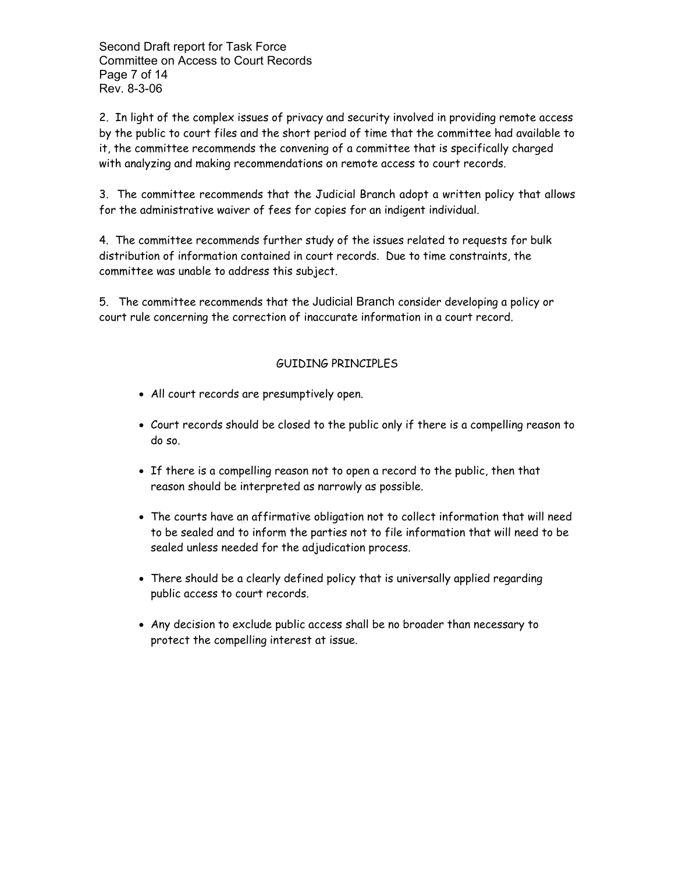Second Draft report for Task Force Committee on Access to Court Records Page 7 of 14 Rev. 8-3-06

2. In light of the complex issues of privacy and security involved in providing remote access by the public to court files and the short period of time that the committee had available to it, the committee recommends the convening of a committee that is specifically charged with analyzing and making recommendations on remote access to court records.

3. The committee recommends that the Judicial Branch adopt a written policy that allows for the administrative waiver of fees for copies for an indigent individual.

4. The committee recommends further study of the issues related to requests for bulk distribution of information contained in court records. Due to time constraints, the committee was unable to address this subject.

5. The committee recommends that the Judicial Branch consider developing a policy or court rule concerning the correction of inaccurate information in a court record.

# GUIDING PRINCIPLES

- All court records are presumptively open.
- Court records should be closed to the public only if there is a compelling reason to do so.
- If there is a compelling reason not to open a record to the public, then that reason should be interpreted as narrowly as possible.
- The courts have an affirmative obligation not to collect information that will need to be sealed and to inform the parties not to file information that will need to be sealed unless needed for the adjudication process.
- There should be a clearly defined policy that is universally applied regarding public access to court records.
- Any decision to exclude public access shall be no broader than necessary to protect the compelling interest at issue.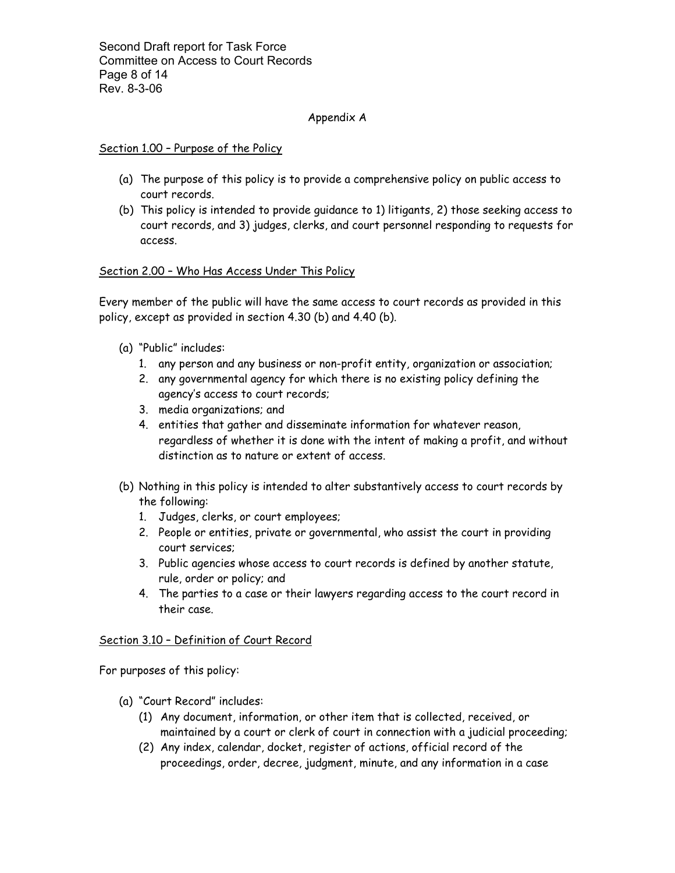Second Draft report for Task Force Committee on Access to Court Records Page 8 of 14 Rev. 8-3-06

#### Appendix A

#### Section 1.00 – Purpose of the Policy

- (a) The purpose of this policy is to provide a comprehensive policy on public access to court records.
- (b) This policy is intended to provide guidance to 1) litigants, 2) those seeking access to court records, and 3) judges, clerks, and court personnel responding to requests for access.

#### Section 2.00 – Who Has Access Under This Policy

Every member of the public will have the same access to court records as provided in this policy, except as provided in section 4.30 (b) and 4.40 (b).

- (a) "Public" includes:
	- 1. any person and any business or non-profit entity, organization or association;
	- 2. any governmental agency for which there is no existing policy defining the agency's access to court records;
	- 3. media organizations; and
	- 4. entities that gather and disseminate information for whatever reason, regardless of whether it is done with the intent of making a profit, and without distinction as to nature or extent of access.
- (b) Nothing in this policy is intended to alter substantively access to court records by the following:
	- 1. Judges, clerks, or court employees;
	- 2. People or entities, private or governmental, who assist the court in providing court services;
	- 3. Public agencies whose access to court records is defined by another statute, rule, order or policy; and
	- 4. The parties to a case or their lawyers regarding access to the court record in their case.

#### Section 3.10 – Definition of Court Record

For purposes of this policy:

- (a) "Court Record" includes:
	- (1) Any document, information, or other item that is collected, received, or maintained by a court or clerk of court in connection with a judicial proceeding;
	- (2) Any index, calendar, docket, register of actions, official record of the proceedings, order, decree, judgment, minute, and any information in a case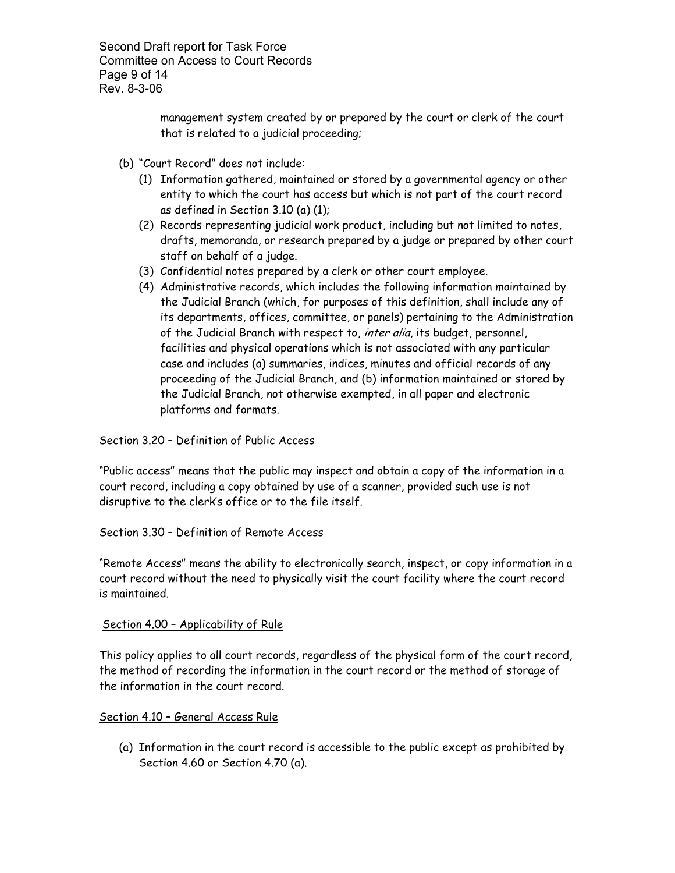Second Draft report for Task Force Committee on Access to Court Records Page 9 of 14 Rev. 8-3-06

> management system created by or prepared by the court or clerk of the court that is related to a judicial proceeding;

- (b) "Court Record" does not include:
	- (1) Information gathered, maintained or stored by a governmental agency or other entity to which the court has access but which is not part of the court record as defined in Section 3.10 (a) (1);
	- (2) Records representing judicial work product, including but not limited to notes, drafts, memoranda, or research prepared by a judge or prepared by other court staff on behalf of a judge.
	- (3) Confidential notes prepared by a clerk or other court employee.
	- (4) Administrative records, which includes the following information maintained by the Judicial Branch (which, for purposes of this definition, shall include any of its departments, offices, committee, or panels) pertaining to the Administration of the Judicial Branch with respect to, inter alia, its budget, personnel, facilities and physical operations which is not associated with any particular case and includes (a) summaries, indices, minutes and official records of any proceeding of the Judicial Branch, and (b) information maintained or stored by the Judicial Branch, not otherwise exempted, in all paper and electronic platforms and formats.

# Section 3.20 – Definition of Public Access

"Public access" means that the public may inspect and obtain a copy of the information in a court record, including a copy obtained by use of a scanner, provided such use is not disruptive to the clerk's office or to the file itself.

# Section 3.30 – Definition of Remote Access

"Remote Access" means the ability to electronically search, inspect, or copy information in a court record without the need to physically visit the court facility where the court record is maintained.

# Section 4.00 – Applicability of Rule

This policy applies to all court records, regardless of the physical form of the court record, the method of recording the information in the court record or the method of storage of the information in the court record.

# Section 4.10 – General Access Rule

(a) Information in the court record is accessible to the public except as prohibited by Section 4.60 or Section 4.70 (a).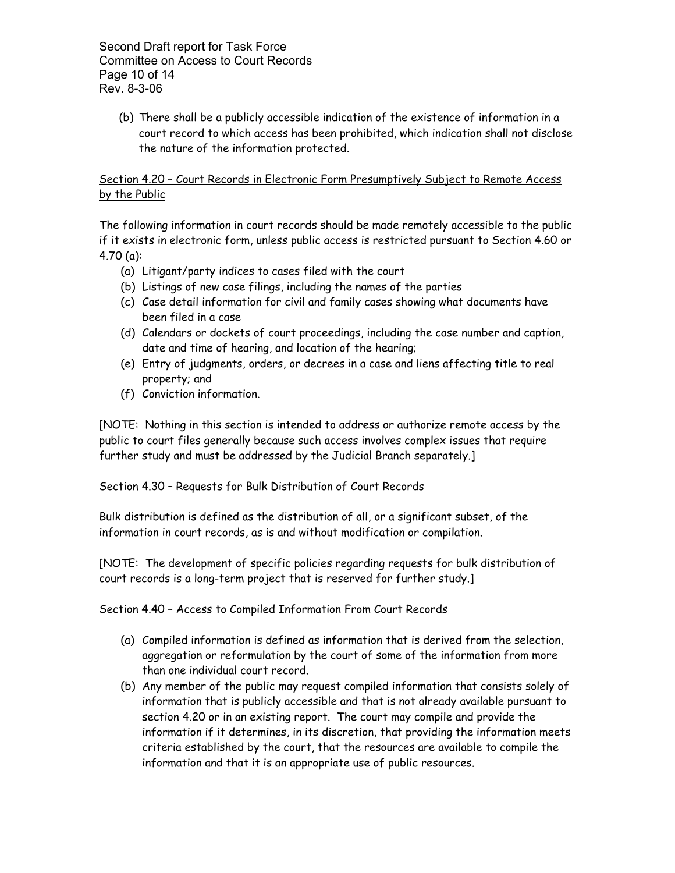Second Draft report for Task Force Committee on Access to Court Records Page 10 of 14 Rev. 8-3-06

(b) There shall be a publicly accessible indication of the existence of information in a court record to which access has been prohibited, which indication shall not disclose the nature of the information protected.

# Section 4.20 – Court Records in Electronic Form Presumptively Subject to Remote Access by the Public

The following information in court records should be made remotely accessible to the public if it exists in electronic form, unless public access is restricted pursuant to Section 4.60 or 4.70 (a):

- (a) Litigant/party indices to cases filed with the court
- (b) Listings of new case filings, including the names of the parties
- (c) Case detail information for civil and family cases showing what documents have been filed in a case
- (d) Calendars or dockets of court proceedings, including the case number and caption, date and time of hearing, and location of the hearing;
- (e) Entry of judgments, orders, or decrees in a case and liens affecting title to real property; and
- (f) Conviction information.

[NOTE: Nothing in this section is intended to address or authorize remote access by the public to court files generally because such access involves complex issues that require further study and must be addressed by the Judicial Branch separately.]

# Section 4.30 – Requests for Bulk Distribution of Court Records

Bulk distribution is defined as the distribution of all, or a significant subset, of the information in court records, as is and without modification or compilation.

[NOTE: The development of specific policies regarding requests for bulk distribution of court records is a long-term project that is reserved for further study.]

# Section 4.40 – Access to Compiled Information From Court Records

- (a) Compiled information is defined as information that is derived from the selection, aggregation or reformulation by the court of some of the information from more than one individual court record.
- (b) Any member of the public may request compiled information that consists solely of information that is publicly accessible and that is not already available pursuant to section 4.20 or in an existing report. The court may compile and provide the information if it determines, in its discretion, that providing the information meets criteria established by the court, that the resources are available to compile the information and that it is an appropriate use of public resources.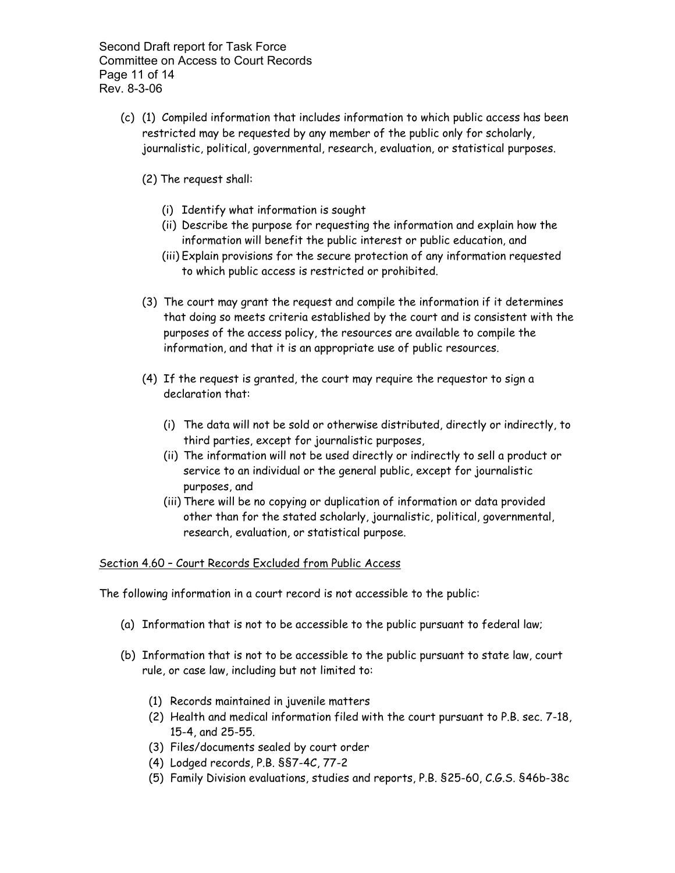Second Draft report for Task Force Committee on Access to Court Records Page 11 of 14 Rev. 8-3-06

- (c) (1) Compiled information that includes information to which public access has been restricted may be requested by any member of the public only for scholarly, journalistic, political, governmental, research, evaluation, or statistical purposes.
	- (2) The request shall:
		- (i) Identify what information is sought
		- (ii) Describe the purpose for requesting the information and explain how the information will benefit the public interest or public education, and
		- (iii) Explain provisions for the secure protection of any information requested to which public access is restricted or prohibited.
	- (3) The court may grant the request and compile the information if it determines that doing so meets criteria established by the court and is consistent with the purposes of the access policy, the resources are available to compile the information, and that it is an appropriate use of public resources.
	- (4) If the request is granted, the court may require the requestor to sign a declaration that:
		- (i) The data will not be sold or otherwise distributed, directly or indirectly, to third parties, except for journalistic purposes,
		- (ii) The information will not be used directly or indirectly to sell a product or service to an individual or the general public, except for journalistic purposes, and
		- (iii) There will be no copying or duplication of information or data provided other than for the stated scholarly, journalistic, political, governmental, research, evaluation, or statistical purpose.

#### Section 4.60 – Court Records Excluded from Public Access

The following information in a court record is not accessible to the public:

- (a) Information that is not to be accessible to the public pursuant to federal law;
- (b) Information that is not to be accessible to the public pursuant to state law, court rule, or case law, including but not limited to:
	- (1) Records maintained in juvenile matters
	- (2) Health and medical information filed with the court pursuant to P.B. sec. 7-18, 15-4, and 25-55.
	- (3) Files/documents sealed by court order
	- (4) Lodged records, P.B. §§7-4C, 77-2
	- (5) Family Division evaluations, studies and reports, P.B. §25-60, C.G.S. §46b-38c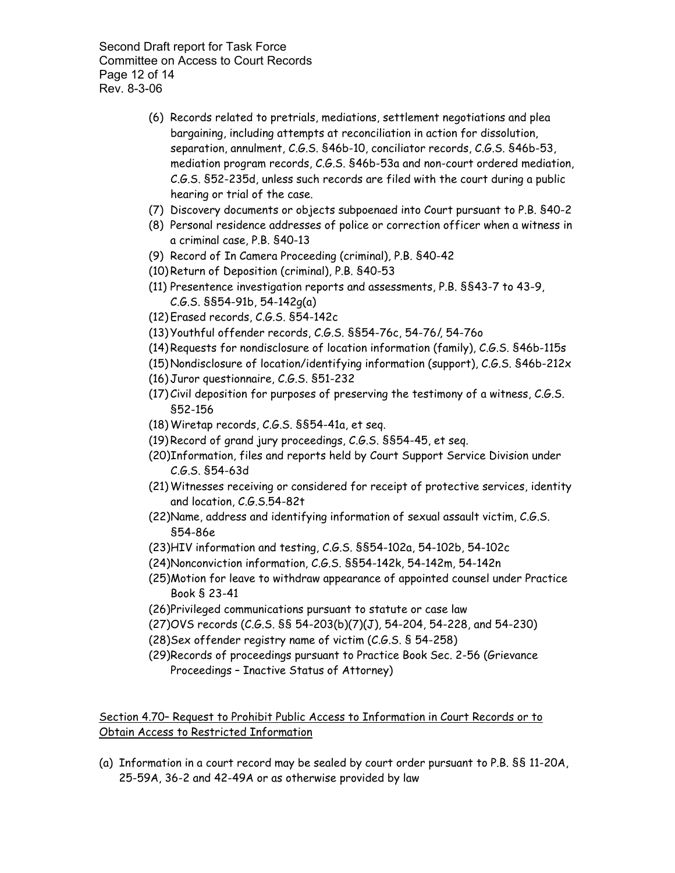Second Draft report for Task Force Committee on Access to Court Records Page 12 of 14 Rev. 8-3-06

- (6) Records related to pretrials, mediations, settlement negotiations and plea bargaining, including attempts at reconciliation in action for dissolution, separation, annulment, C.G.S. §46b-10, conciliator records, C.G.S. §46b-53, mediation program records, C.G.S. §46b-53a and non-court ordered mediation, C.G.S. §52-235d, unless such records are filed with the court during a public hearing or trial of the case.
- (7) Discovery documents or objects subpoenaed into Court pursuant to P.B. §40-2
- (8) Personal residence addresses of police or correction officer when a witness in a criminal case, P.B. §40-13
- (9) Record of In Camera Proceeding (criminal), P.B. §40-42
- (10)Return of Deposition (criminal), P.B. §40-53
- (11) Presentence investigation reports and assessments, P.B. §§43-7 to 43-9, C.G.S. §§54-91b, 54-142g(a)
- (12)Erased records, C.G.S. §54-142c
- (13)Youthful offender records, C.G.S. §§54-76c, 54-76l, 54-76o
- (14)Requests for nondisclosure of location information (family), C.G.S. §46b-115s
- (15)Nondisclosure of location/identifying information (support), C.G.S. §46b-212x
- (16)Juror questionnaire, C.G.S. §51-232
- (17) Civil deposition for purposes of preserving the testimony of a witness, C.G.S. §52-156
- (18)Wiretap records, C.G.S. §§54-41a, et seq.
- (19)Record of grand jury proceedings, C.G.S. §§54-45, et seq.
- (20)Information, files and reports held by Court Support Service Division under C.G.S. §54-63d
- (21)Witnesses receiving or considered for receipt of protective services, identity and location, C.G.S.54-82t
- (22)Name, address and identifying information of sexual assault victim, C.G.S. §54-86e
- (23)HIV information and testing, C.G.S. §§54-102a, 54-102b, 54-102c
- (24)Nonconviction information, C.G.S. §§54-142k, 54-142m, 54-142n
- (25)Motion for leave to withdraw appearance of appointed counsel under Practice Book § 23-41
- (26)Privileged communications pursuant to statute or case law
- (27)OVS records (C.G.S. §§ 54-203(b)(7)(J), 54-204, 54-228, and 54-230)
- (28)Sex offender registry name of victim (C.G.S. § 54-258)
- (29)Records of proceedings pursuant to Practice Book Sec. 2-56 (Grievance Proceedings – Inactive Status of Attorney)

Section 4.70– Request to Prohibit Public Access to Information in Court Records or to Obtain Access to Restricted Information

(a) Information in a court record may be sealed by court order pursuant to P.B. §§ 11-20A, 25-59A, 36-2 and 42-49A or as otherwise provided by law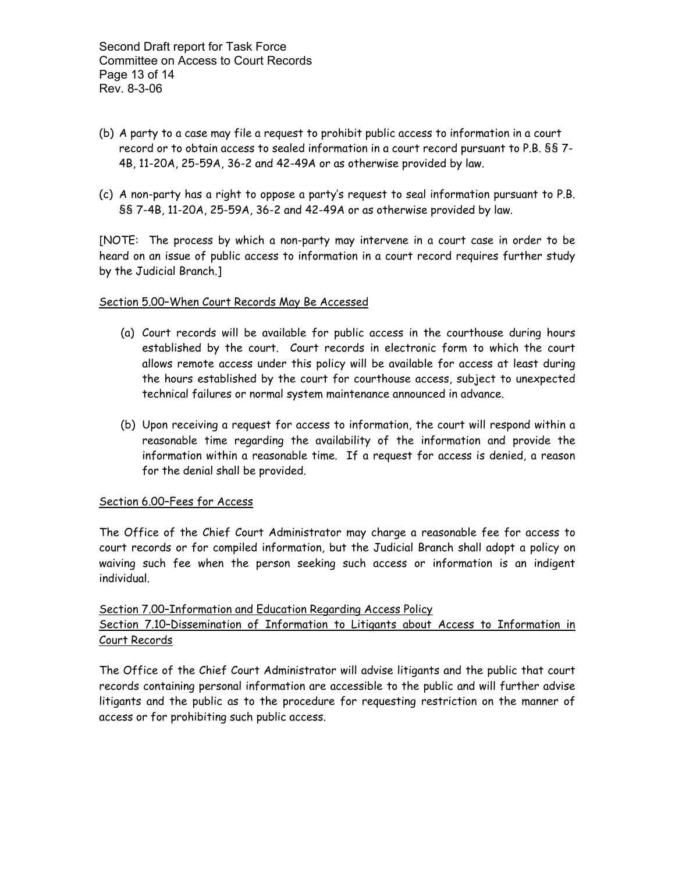- (b) A party to a case may file a request to prohibit public access to information in a court record or to obtain access to sealed information in a court record pursuant to P.B. §§ 7- 4B, 11-20A, 25-59A, 36-2 and 42-49A or as otherwise provided by law.
- (c) A non-party has a right to oppose a party's request to seal information pursuant to P.B. §§ 7-4B, 11-20A, 25-59A, 36-2 and 42-49A or as otherwise provided by law.

[NOTE: The process by which a non-party may intervene in a court case in order to be heard on an issue of public access to information in a court record requires further study by the Judicial Branch.]

#### Section 5.00–When Court Records May Be Accessed

- (a) Court records will be available for public access in the courthouse during hours established by the court. Court records in electronic form to which the court allows remote access under this policy will be available for access at least during the hours established by the court for courthouse access, subject to unexpected technical failures or normal system maintenance announced in advance.
- (b) Upon receiving a request for access to information, the court will respond within a reasonable time regarding the availability of the information and provide the information within a reasonable time. If a request for access is denied, a reason for the denial shall be provided.

#### Section 6.00–Fees for Access

The Office of the Chief Court Administrator may charge a reasonable fee for access to court records or for compiled information, but the Judicial Branch shall adopt a policy on waiving such fee when the person seeking such access or information is an indigent individual.

# Section 7.00–Information and Education Regarding Access Policy Section 7.10–Dissemination of Information to Litigants about Access to Information in Court Records

The Office of the Chief Court Administrator will advise litigants and the public that court records containing personal information are accessible to the public and will further advise litigants and the public as to the procedure for requesting restriction on the manner of access or for prohibiting such public access.